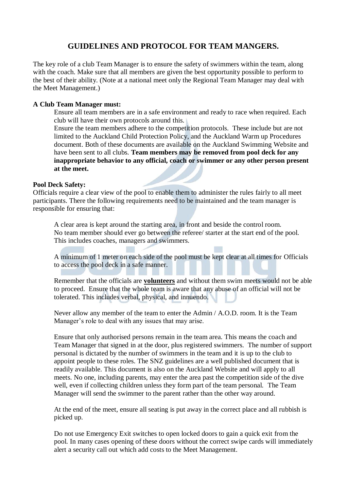# **GUIDELINES AND PROTOCOL FOR TEAM MANGERS.**

The key role of a club Team Manager is to ensure the safety of swimmers within the team, along with the coach. Make sure that all members are given the best opportunity possible to perform to the best of their ability. (Note at a national meet only the Regional Team Manager may deal with the Meet Management.)

## **A Club Team Manager must:**

Ensure all team members are in a safe environment and ready to race when required. Each club will have their own protocols around this.

Ensure the team members adhere to the competition protocols. These include but are not limited to the Auckland Child Protection Policy, and the Auckland Warm up Procedures document. Both of these documents are available on the Auckland Swimming Website and have been sent to all clubs. **Team members may be removed from pool deck for any inappropriate behavior to any official, coach or swimmer or any other person present at the meet.**

### **Pool Deck Safety:**

Officials require a clear view of the pool to enable them to administer the rules fairly to all meet participants. There the following requirements need to be maintained and the team manager is responsible for ensuring that:

A clear area is kept around the starting area, in front and beside the control room. No team member should ever go between the referee/ starter at the start end of the pool. This includes coaches, managers and swimmers.

A minimum of 1 meter on each side of the pool must be kept clear at all times for Officials to access the pool deck in a safe manner.

Remember that the officials are **volunteers** and without them swim meets would not be able to proceed. Ensure that the whole team is aware that any abuse of an official will not be tolerated. This includes verbal, physical, and innuendo.

Never allow any member of the team to enter the Admin / A.O.D. room. It is the Team Manager's role to deal with any issues that may arise.

Ensure that only authorised persons remain in the team area. This means the coach and Team Manager that signed in at the door, plus registered swimmers. The number of support personal is dictated by the number of swimmers in the team and it is up to the club to appoint people to these roles. The SNZ guidelines are a well published document that is readily available. This document is also on the Auckland Website and will apply to all meets. No one, including parents, may enter the area past the competition side of the dive well, even if collecting children unless they form part of the team personal. The Team Manager will send the swimmer to the parent rather than the other way around.

At the end of the meet, ensure all seating is put away in the correct place and all rubbish is picked up.

Do not use Emergency Exit switches to open locked doors to gain a quick exit from the pool. In many cases opening of these doors without the correct swipe cards will immediately alert a security call out which add costs to the Meet Management.